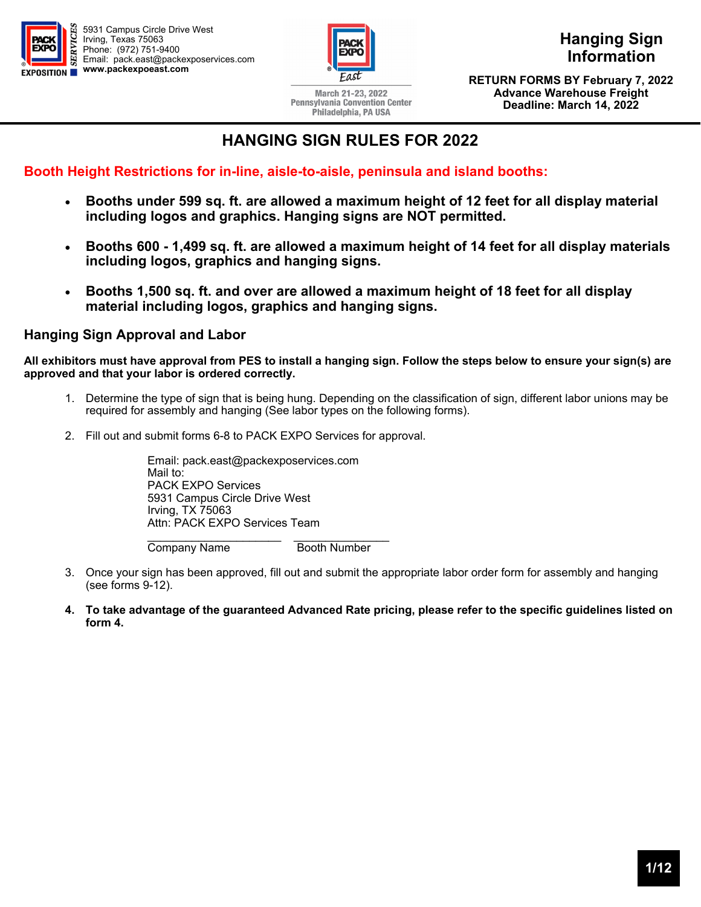



March 21-23, 2022 **Pennsylvania Convention Center** Philadelphia, PA USA

**Hanging Sign Information** 

**Discount Deadline: RETURN FORMS BY February 7, 2022 Advance Warehouse Freight (excludes labor) Deadline: March 14, 2022** 

## **HANGING SIGN RULES FOR 2022**

**Booth Height Restrictions for in-line, aisle-to-aisle, peninsula and island booths:** 

- **Booths under 599 sq. ft. are allowed a maximum height of 12 feet for all display material including logos and graphics. Hanging signs are NOT permitted.**
- **Booths 600 1,499 sq. ft. are allowed a maximum height of 14 feet for all display materials including logos, graphics and hanging signs.**
- **Booths 1,500 sq. ft. and over are allowed a maximum height of 18 feet for all display material including logos, graphics and hanging signs.**

#### **Hanging Sign Approval and Labor**

**All exhibitors must have approval from PES to install a hanging sign. Follow the steps below to ensure your sign(s) are approved and that your labor is ordered correctly.** 

- 1. Determine the type of sign that is being hung. Depending on the classification of sign, different labor unions may be required for assembly and hanging (See labor types on the following forms).
- 2. Fill out and submit forms 6-8 to PACK EXPO Services for approval.

 Email: pack.east@packexposervices.com Mail to: PACK EXPO Services 5931 Campus Circle Drive West Irving, TX 75063 Attn: PACK EXPO Services Team

 \_\_\_\_\_\_\_\_\_\_\_\_\_\_\_\_\_\_\_\_\_ \_\_\_\_\_\_\_\_\_\_\_\_\_\_\_ Company Name Booth Number

- 3. Once your sign has been approved, fill out and submit the appropriate labor order form for assembly and hanging (see forms 9-12).
- **4. To take advantage of the guaranteed Advanced Rate pricing, please refer to the specific guidelines listed on form 4.**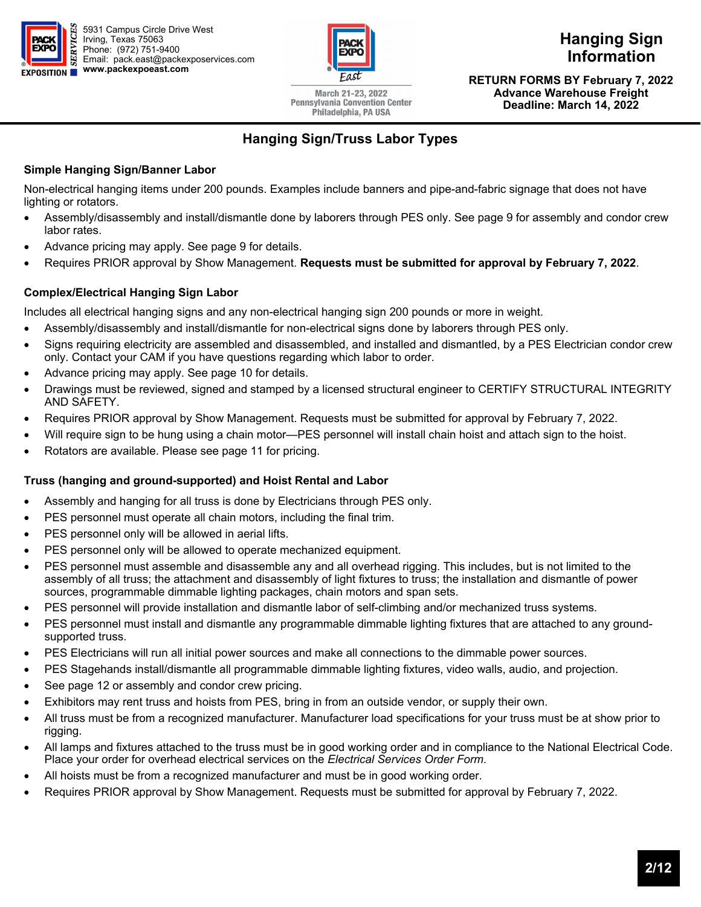



March 21-23, 2022 **Pennsylvania Convention Center** Philadelphia, PA USA

**Hanging Sign Information** 

**Discount Deadline: RETURN FORMS BY February 7, 2022 Advance Warehouse Freight (excludes labor) Deadline: March 14, 2022** 

## **Hanging Sign/Truss Labor Types**

#### **Simple Hanging Sign/Banner Labor**

Non-electrical hanging items under 200 pounds. Examples include banners and pipe-and-fabric signage that does not have lighting or rotators.

- Assembly/disassembly and install/dismantle done by laborers through PES only. See page 9 for assembly and condor crew labor rates.
- Advance pricing may apply. See page 9 for details.
- Requires PRIOR approval by Show Management. **Requests must be submitted for approval by February 7, 2022**.

#### **Complex/Electrical Hanging Sign Labor**

Includes all electrical hanging signs and any non-electrical hanging sign 200 pounds or more in weight.

- Assembly/disassembly and install/dismantle for non-electrical signs done by laborers through PES only.
- Signs requiring electricity are assembled and disassembled, and installed and dismantled, by a PES Electrician condor crew only. Contact your CAM if you have questions regarding which labor to order.
- Advance pricing may apply. See page 10 for details.
- Drawings must be reviewed, signed and stamped by a licensed structural engineer to CERTIFY STRUCTURAL INTEGRITY AND SAFETY.
- Requires PRIOR approval by Show Management. Requests must be submitted for approval by February 7, 2022.
- Will require sign to be hung using a chain motor—PES personnel will install chain hoist and attach sign to the hoist.
- Rotators are available. Please see page 11 for pricing.

#### **Truss (hanging and ground-supported) and Hoist Rental and Labor**

- Assembly and hanging for all truss is done by Electricians through PES only.
- PES personnel must operate all chain motors, including the final trim.
- PES personnel only will be allowed in aerial lifts.
- PES personnel only will be allowed to operate mechanized equipment.
- PES personnel must assemble and disassemble any and all overhead rigging. This includes, but is not limited to the assembly of all truss; the attachment and disassembly of light fixtures to truss; the installation and dismantle of power sources, programmable dimmable lighting packages, chain motors and span sets.
- PES personnel will provide installation and dismantle labor of self-climbing and/or mechanized truss systems.
- PES personnel must install and dismantle any programmable dimmable lighting fixtures that are attached to any groundsupported truss.
- PES Electricians will run all initial power sources and make all connections to the dimmable power sources.
- PES Stagehands install/dismantle all programmable dimmable lighting fixtures, video walls, audio, and projection.
- See page 12 or assembly and condor crew pricing.
- Exhibitors may rent truss and hoists from PES, bring in from an outside vendor, or supply their own.
- All truss must be from a recognized manufacturer. Manufacturer load specifications for your truss must be at show prior to rigging.
- All lamps and fixtures attached to the truss must be in good working order and in compliance to the National Electrical Code. Place your order for overhead electrical services on the *Electrical Services Order Form*.
- All hoists must be from a recognized manufacturer and must be in good working order.
- Requires PRIOR approval by Show Management. Requests must be submitted for approval by February 7, 2022.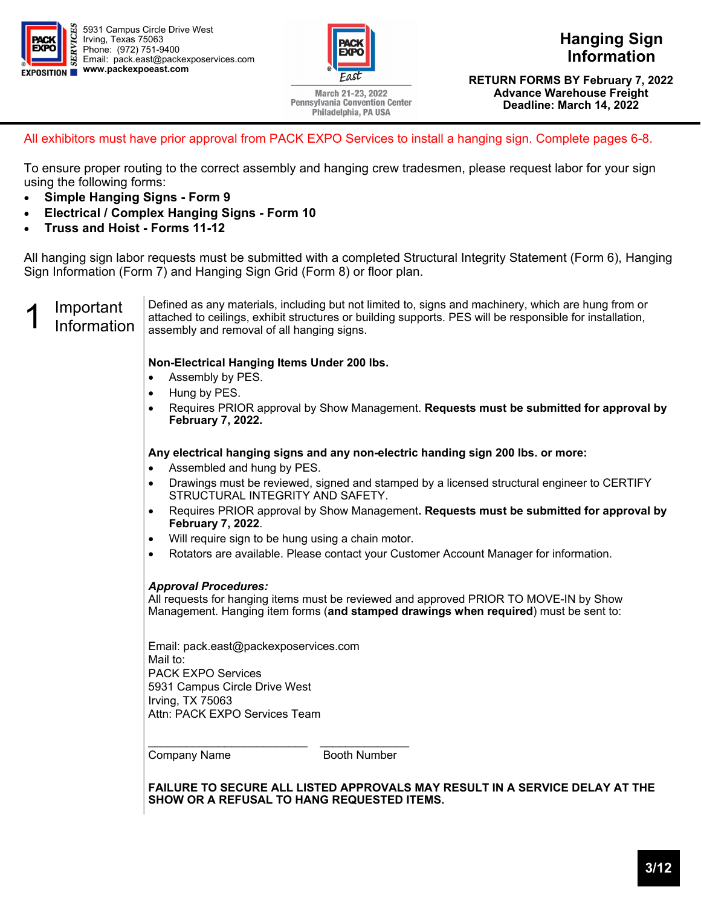



**Hanging Sign Information** 

March 21-23, 2022 **Pennsylvania Convention Center** Philadelphia, PA USA

**Discount Deadline: RETURN FORMS BY February 7, 2022 Advance Warehouse Freight (excludes labor) Deadline: March 14, 2022** 

All exhibitors must have prior approval from PACK EXPO Services to install a hanging sign. Complete pages 6-8.

To ensure proper routing to the correct assembly and hanging crew tradesmen, please request labor for your sign using the following forms:

- **Simple Hanging Signs Form 9**
- **Electrical / Complex Hanging Signs Form 10**
- **Truss and Hoist Forms 11-12**

All hanging sign labor requests must be submitted with a completed Structural Integrity Statement (Form 6), Hanging Sign Information (Form 7) and Hanging Sign Grid (Form 8) or floor plan.

1 Important<br>1 Information Defined as any materials, including but not limited to, signs and machinery, which are hung from or attached to ceilings, exhibit structures or building supports. PES will be responsible for installation, assembly and removal of all hanging signs.

#### **Non-Electrical Hanging Items Under 200 lbs.**

- Assembly by PES.
- Hung by PES.
- Requires PRIOR approval by Show Management. **Requests must be submitted for approval by February 7, 2022.**

**Any electrical hanging signs and any non-electric handing sign 200 lbs. or more:** 

- Assembled and hung by PES.
- Drawings must be reviewed, signed and stamped by a licensed structural engineer to CERTIFY STRUCTURAL INTEGRITY AND SAFETY.
- Requires PRIOR approval by Show Management**. Requests must be submitted for approval by February 7, 2022**.
- Will require sign to be hung using a chain motor.
- Rotators are available. Please contact your Customer Account Manager for information.

#### *Approval Procedures:*

All requests for hanging items must be reviewed and approved PRIOR TO MOVE-IN by Show Management. Hanging item forms (**and stamped drawings when required**) must be sent to:

Email: pack.east@packexposervices.com Mail to: PACK EXPO Services 5931 Campus Circle Drive West Irving, TX 75063 Attn: PACK EXPO Services Team

Company Name Booth Number

**FAILURE TO SECURE ALL LISTED APPROVALS MAY RESULT IN A SERVICE DELAY AT THE SHOW OR A REFUSAL TO HANG REQUESTED ITEMS.**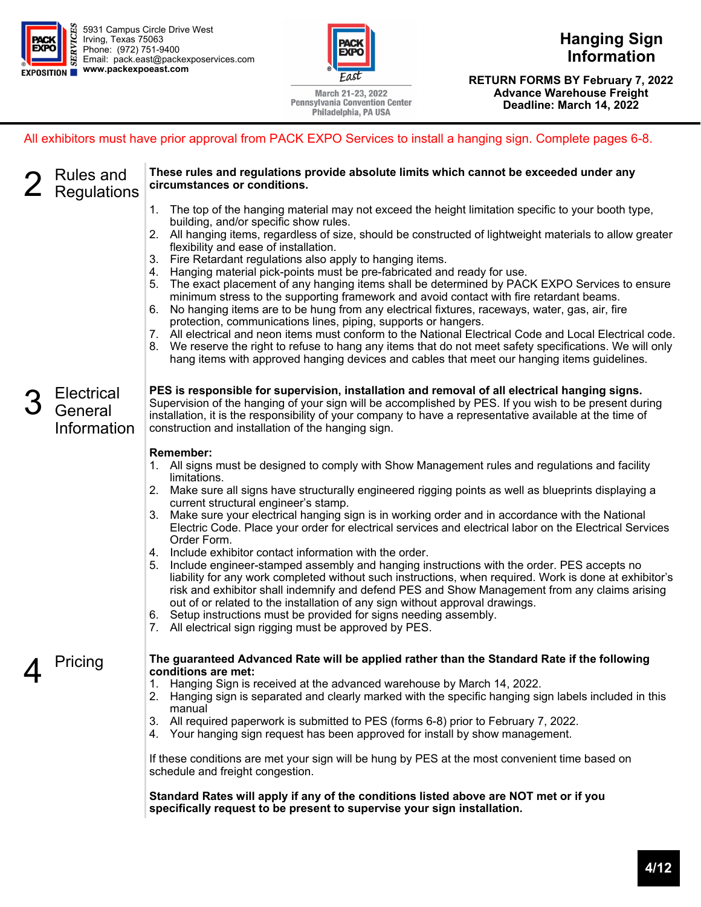

**Hanging Sign Information** 

March 21-23, 2022 **Pennsylvania Convention Center** Philadelphia, PA USA

**Discount Deadline: RETURN FORMS BY February 7, 2022 Advance Warehouse Freight (excludes labor) Deadline: March 14, 2022** 

All exhibitors must have prior approval from PACK EXPO Services to install a hanging sign. Complete pages 6-8.

| <b>Rules and</b><br><b>Regulations</b>      | These rules and regulations provide absolute limits which cannot be exceeded under any<br>circumstances or conditions.<br>1. The top of the hanging material may not exceed the height limitation specific to your booth type,<br>building, and/or specific show rules.<br>2. All hanging items, regardless of size, should be constructed of lightweight materials to allow greater<br>flexibility and ease of installation.<br>3. Fire Retardant regulations also apply to hanging items.<br>4. Hanging material pick-points must be pre-fabricated and ready for use.<br>5. The exact placement of any hanging items shall be determined by PACK EXPO Services to ensure<br>minimum stress to the supporting framework and avoid contact with fire retardant beams.<br>6. No hanging items are to be hung from any electrical fixtures, raceways, water, gas, air, fire<br>protection, communications lines, piping, supports or hangers.<br>7. All electrical and neon items must conform to the National Electrical Code and Local Electrical code.<br>8. We reserve the right to refuse to hang any items that do not meet safety specifications. We will only<br>hang items with approved hanging devices and cables that meet our hanging items guidelines. |
|---------------------------------------------|---------------------------------------------------------------------------------------------------------------------------------------------------------------------------------------------------------------------------------------------------------------------------------------------------------------------------------------------------------------------------------------------------------------------------------------------------------------------------------------------------------------------------------------------------------------------------------------------------------------------------------------------------------------------------------------------------------------------------------------------------------------------------------------------------------------------------------------------------------------------------------------------------------------------------------------------------------------------------------------------------------------------------------------------------------------------------------------------------------------------------------------------------------------------------------------------------------------------------------------------------------------------|
| <b>Electrical</b><br>General<br>Information | PES is responsible for supervision, installation and removal of all electrical hanging signs.<br>Supervision of the hanging of your sign will be accomplished by PES. If you wish to be present during<br>installation, it is the responsibility of your company to have a representative available at the time of<br>construction and installation of the hanging sign.                                                                                                                                                                                                                                                                                                                                                                                                                                                                                                                                                                                                                                                                                                                                                                                                                                                                                            |
|                                             | <b>Remember:</b><br>1. All signs must be designed to comply with Show Management rules and regulations and facility<br>limitations.<br>2. Make sure all signs have structurally engineered rigging points as well as blueprints displaying a<br>current structural engineer's stamp.<br>Make sure your electrical hanging sign is in working order and in accordance with the National<br>3.<br>Electric Code. Place your order for electrical services and electrical labor on the Electrical Services<br>Order Form.<br>4. Include exhibitor contact information with the order.<br>5. Include engineer-stamped assembly and hanging instructions with the order. PES accepts no<br>liability for any work completed without such instructions, when required. Work is done at exhibitor's<br>risk and exhibitor shall indemnify and defend PES and Show Management from any claims arising<br>out of or related to the installation of any sign without approval drawings.<br>6. Setup instructions must be provided for signs needing assembly.<br>7. All electrical sign rigging must be approved by PES.                                                                                                                                                      |
| Pricing                                     | The guaranteed Advanced Rate will be applied rather than the Standard Rate if the following<br>conditions are met:<br>Hanging Sign is received at the advanced warehouse by March 14, 2022.<br>1.<br>Hanging sign is separated and clearly marked with the specific hanging sign labels included in this<br>2.<br>manual<br>3. All required paperwork is submitted to PES (forms 6-8) prior to February 7, 2022.<br>4. Your hanging sign request has been approved for install by show management.<br>If these conditions are met your sign will be hung by PES at the most convenient time based on<br>schedule and freight congestion.<br>Standard Rates will apply if any of the conditions listed above are NOT met or if you<br>specifically request to be present to supervise your sign installation.                                                                                                                                                                                                                                                                                                                                                                                                                                                        |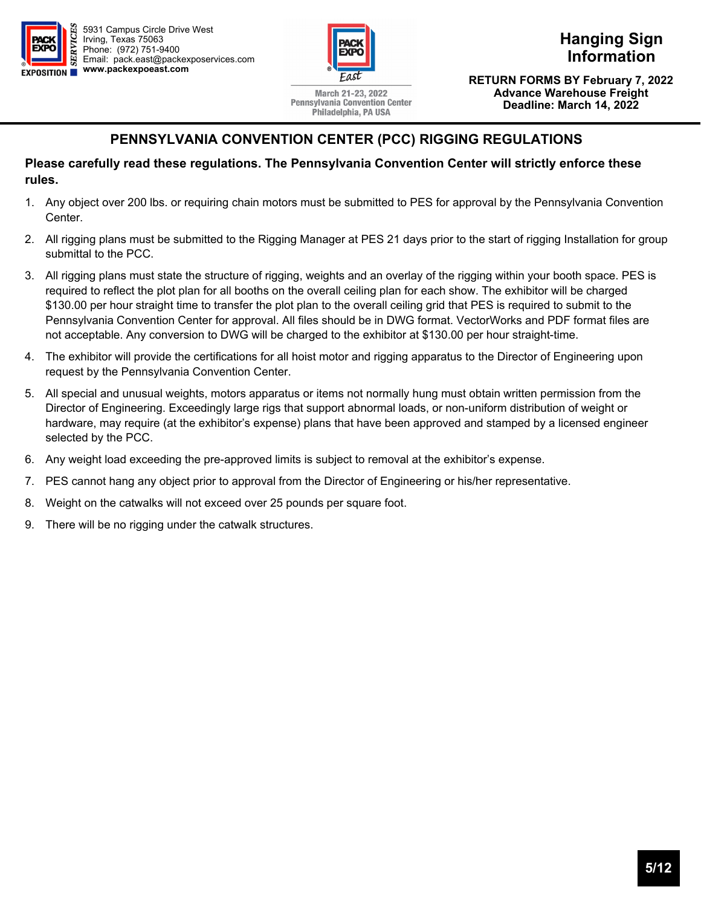



March 21-23, 2022 **Pennsylvania Convention Center** Philadelphia, PA USA

**Hanging Sign Information** 

**Discount Deadline: RETURN FORMS BY February 7, 2022 Advance Warehouse Freight (excludes labor) Deadline: March 14, 2022** 

### **PENNSYLVANIA CONVENTION CENTER (PCC) RIGGING REGULATIONS**

#### **Please carefully read these regulations. The Pennsylvania Convention Center will strictly enforce these rules.**

- 1. Any object over 200 lbs. or requiring chain motors must be submitted to PES for approval by the Pennsylvania Convention Center.
- 2. All rigging plans must be submitted to the Rigging Manager at PES 21 days prior to the start of rigging Installation for group submittal to the PCC.
- 3. All rigging plans must state the structure of rigging, weights and an overlay of the rigging within your booth space. PES is required to reflect the plot plan for all booths on the overall ceiling plan for each show. The exhibitor will be charged \$130.00 per hour straight time to transfer the plot plan to the overall ceiling grid that PES is required to submit to the Pennsylvania Convention Center for approval. All files should be in DWG format. VectorWorks and PDF format files are not acceptable. Any conversion to DWG will be charged to the exhibitor at \$130.00 per hour straight-time.
- 4. The exhibitor will provide the certifications for all hoist motor and rigging apparatus to the Director of Engineering upon request by the Pennsylvania Convention Center.
- 5. All special and unusual weights, motors apparatus or items not normally hung must obtain written permission from the Director of Engineering. Exceedingly large rigs that support abnormal loads, or non-uniform distribution of weight or hardware, may require (at the exhibitor's expense) plans that have been approved and stamped by a licensed engineer selected by the PCC.
- 6. Any weight load exceeding the pre-approved limits is subject to removal at the exhibitor's expense.
- 7. PES cannot hang any object prior to approval from the Director of Engineering or his/her representative.
- 8. Weight on the catwalks will not exceed over 25 pounds per square foot.
- 9. There will be no rigging under the catwalk structures.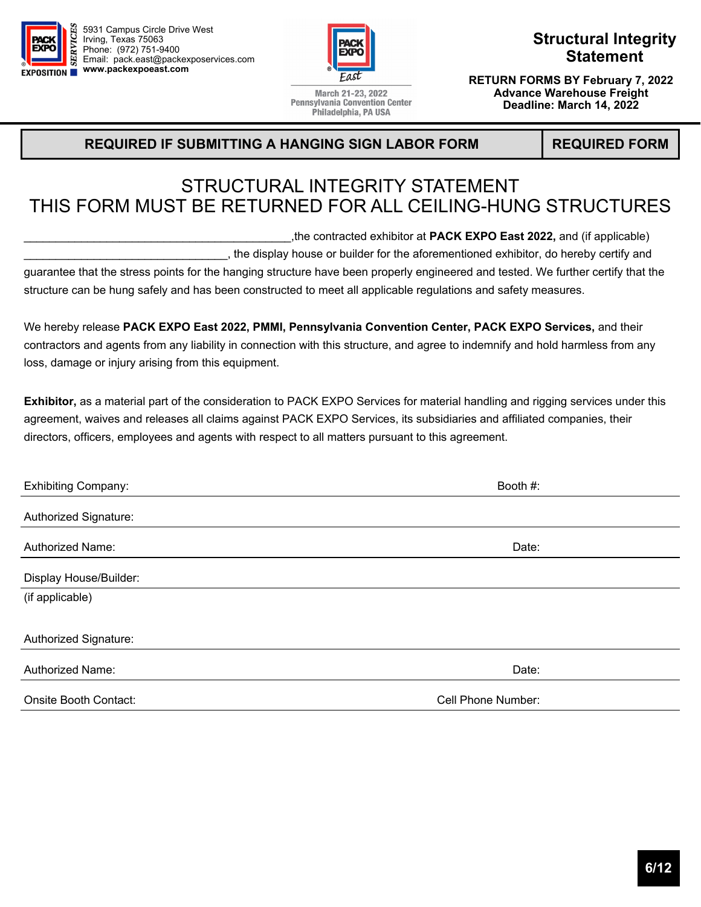



**Structural Integrity Statement** 

March 21-23, 2022 **Pennsylvania Convention Center** Philadelphia, PA USA

**Advance Warehouse Freight (excludes labor) Deadline: March 14, 2022** 

**Discount Deadline: RETURN FORMS BY February 7, 2022** 

#### **REQUIRED IF SUBMITTING A HANGING SIGN LABOR FORM REQUIRED FORM**

## STRUCTURAL INTEGRITY STATEMENT THIS FORM MUST BE RETURNED FOR ALL CEILING-HUNG STRUCTURES

\_\_\_\_\_\_\_\_\_\_\_\_\_\_\_\_\_\_\_\_\_\_\_\_\_\_\_\_\_\_\_\_\_\_\_\_\_\_\_\_\_\_,the contracted exhibitor at **PACK EXPO East 2022,** and (if applicable)

\_\_\_\_\_\_\_\_\_\_\_\_\_\_\_\_\_\_\_\_\_\_\_\_\_\_\_\_\_\_\_\_, the display house or builder for the aforementioned exhibitor, do hereby certify and

guarantee that the stress points for the hanging structure have been properly engineered and tested. We further certify that the structure can be hung safely and has been constructed to meet all applicable regulations and safety measures.

We hereby release **PACK EXPO East 2022, PMMI, Pennsylvania Convention Center, PACK EXPO Services,** and their contractors and agents from any liability in connection with this structure, and agree to indemnify and hold harmless from any loss, damage or injury arising from this equipment.

**Exhibitor,** as a material part of the consideration to PACK EXPO Services for material handling and rigging services under this agreement, waives and releases all claims against PACK EXPO Services, its subsidiaries and affiliated companies, their directors, officers, employees and agents with respect to all matters pursuant to this agreement.

| <b>Exhibiting Company:</b> | Booth #:           |
|----------------------------|--------------------|
| Authorized Signature:      |                    |
| <b>Authorized Name:</b>    | Date:              |
| Display House/Builder:     |                    |
| (if applicable)            |                    |
| Authorized Signature:      |                    |
| <b>Authorized Name:</b>    | Date:              |
| Onsite Booth Contact:      | Cell Phone Number: |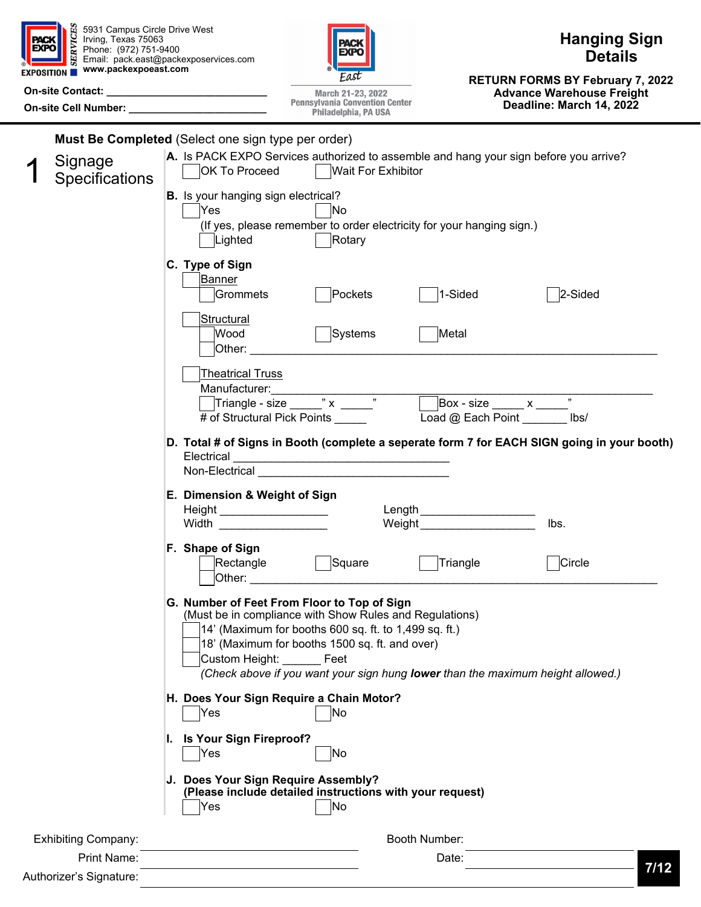| <b>EXPO</b> | 5931 Campus Circle Drive West<br>Irving, Texas 75063<br>E Irving, Texas 75063<br>$\approx$ Phone: (972) 751-9400<br>EXPOSITION Www.packexpoeast.com<br>On-site Cell Number: ________________________ | <b>Hanging Sign</b><br>'ACI<br>EXPO<br><b>Details</b><br>Email: pack.east@packexposervices.com<br><b>RETURN FORMS BY February 7, 2022</b><br><b>Advance Warehouse Freight</b><br>March 21-23, 2022<br><b>Pennsylvania Convention Center</b><br>Deadline: March 14, 2022<br>Philadelphia, PA USA                             |      |
|-------------|------------------------------------------------------------------------------------------------------------------------------------------------------------------------------------------------------|-----------------------------------------------------------------------------------------------------------------------------------------------------------------------------------------------------------------------------------------------------------------------------------------------------------------------------|------|
|             | Signage<br><b>Specifications</b>                                                                                                                                                                     | Must Be Completed (Select one sign type per order)<br>A. Is PACK EXPO Services authorized to assemble and hang your sign before you arrive?<br><b>Wait For Exhibitor</b><br>OK To Proceed<br><b>B.</b> Is your hanging sign electrical?                                                                                     |      |
|             |                                                                                                                                                                                                      | Yes<br>'No<br>(If yes, please remember to order electricity for your hanging sign.)<br>Lighted<br>Rotary                                                                                                                                                                                                                    |      |
|             |                                                                                                                                                                                                      | C. Type of Sign<br> Banner<br>1-Sided<br>2-Sided<br>Grommets<br>Pockets<br><b>Structural</b><br>Metal<br>Wood<br>Systems                                                                                                                                                                                                    |      |
|             |                                                                                                                                                                                                      | Other:<br><b>Theatrical Truss</b><br>Manufacturer:<br>Triangle - size $\frac{1}{x}$ $\frac{1}{x}$ $\frac{1}{x}$<br>$Box - size$ x $"$<br>Load @ Each Point ________ lbs/<br># of Structural Pick Points _____                                                                                                               |      |
|             |                                                                                                                                                                                                      | D. Total # of Signs in Booth (complete a seperate form 7 for EACH SIGN going in your booth)<br>Electrical<br>Non-Electrical Non-Electrical Analysis and Analysis and Analysis and Analysis and Analysis and Analysis and An                                                                                                 |      |
|             |                                                                                                                                                                                                      | E. Dimension & Weight of Sign<br>Length<br>Height ______________________<br>Weight<br>Width<br>lbs.                                                                                                                                                                                                                         |      |
|             |                                                                                                                                                                                                      | F. Shape of Sign<br>Rectangle<br>Square<br>Triangle<br>Circle<br>Other:                                                                                                                                                                                                                                                     |      |
|             |                                                                                                                                                                                                      | G. Number of Feet From Floor to Top of Sign<br>(Must be in compliance with Show Rules and Regulations)<br>14' (Maximum for booths 600 sq. ft. to 1,499 sq. ft.)<br>18' (Maximum for booths 1500 sq. ft. and over)<br>Custom Height: Feet<br>(Check above if you want your sign hung lower than the maximum height allowed.) |      |
|             |                                                                                                                                                                                                      | H. Does Your Sign Require a Chain Motor?<br> No<br>Yes<br>I. Is Your Sign Fireproof?                                                                                                                                                                                                                                        |      |
|             |                                                                                                                                                                                                      | Yes<br>ļΝo<br>J. Does Your Sign Require Assembly?<br>(Please include detailed instructions with your request)                                                                                                                                                                                                               |      |
|             |                                                                                                                                                                                                      | No<br>Yes                                                                                                                                                                                                                                                                                                                   |      |
|             | <b>Exhibiting Company:</b><br>Print Name:                                                                                                                                                            | Booth Number:                                                                                                                                                                                                                                                                                                               |      |
|             | Authorizer's Signature:                                                                                                                                                                              | Date:                                                                                                                                                                                                                                                                                                                       | 7/12 |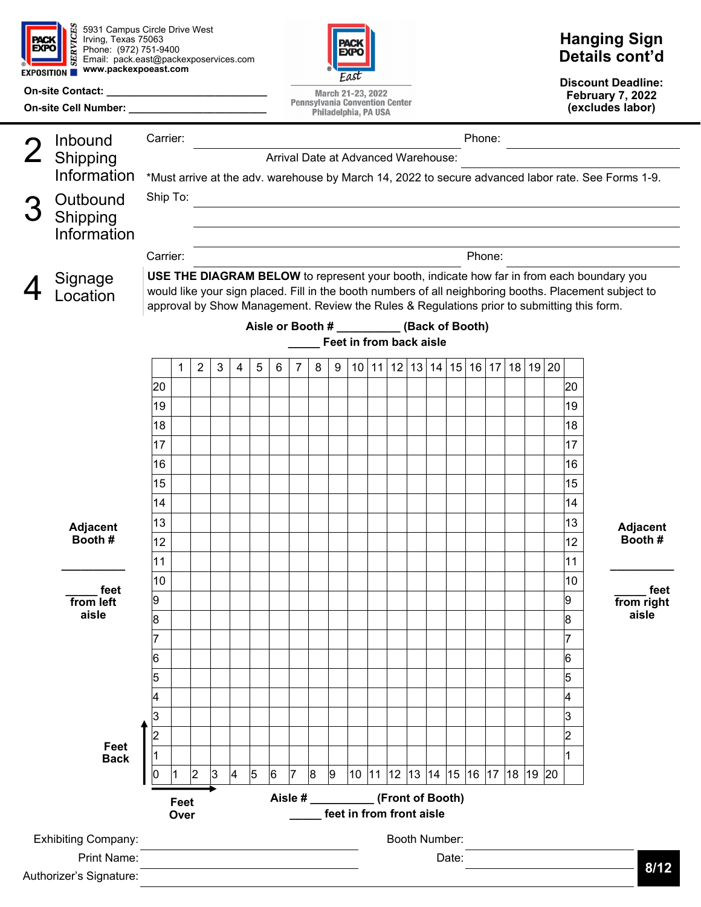

**On-site Contact:** 

5931 Campus Circle Drive West Irving, Texas 75063 Phone: (972) 751-9400 Email: pack.east@packexposervices.com **www.packexpoeast.com** 

**On-site Cell Number: \_\_\_\_\_\_\_\_\_\_\_\_\_\_\_\_\_\_\_\_\_\_\_\_** 



March 21-23, 2022 **Pennsylvania Convention Center** Philadelphia, PA USA

## **Hanging Sign Details cont'd**

**Discount Deadline: February 7, 2022 (excludes labor)** 

|                                                                                | Inbound                    | Carrier:                                                                                                                                  |          |                |              |                |                |   |                |   |                |                         |  |                          |                                              | Phone: |        |       |                   |                |                                                                                                        |
|--------------------------------------------------------------------------------|----------------------------|-------------------------------------------------------------------------------------------------------------------------------------------|----------|----------------|--------------|----------------|----------------|---|----------------|---|----------------|-------------------------|--|--------------------------|----------------------------------------------|--------|--------|-------|-------------------|----------------|--------------------------------------------------------------------------------------------------------|
|                                                                                | Shipping                   | Arrival Date at Advanced Warehouse:<br>*Must arrive at the adv. warehouse by March 14, 2022 to secure advanced labor rate. See Forms 1-9. |          |                |              |                |                |   |                |   |                |                         |  |                          |                                              |        |        |       |                   |                |                                                                                                        |
|                                                                                | Information                |                                                                                                                                           |          |                |              |                |                |   |                |   |                |                         |  |                          |                                              |        |        |       |                   |                |                                                                                                        |
|                                                                                | Outbound                   |                                                                                                                                           | Ship To: |                |              |                |                |   |                |   |                |                         |  |                          |                                              |        |        |       |                   |                |                                                                                                        |
|                                                                                | Shipping                   |                                                                                                                                           |          |                |              |                |                |   |                |   |                |                         |  |                          |                                              |        |        |       |                   |                |                                                                                                        |
|                                                                                | Information                |                                                                                                                                           |          |                |              |                |                |   |                |   |                |                         |  |                          |                                              |        |        |       |                   |                |                                                                                                        |
|                                                                                |                            | Carrier:                                                                                                                                  |          |                |              |                |                |   |                |   |                |                         |  |                          |                                              |        | Phone: |       |                   |                |                                                                                                        |
|                                                                                |                            |                                                                                                                                           |          |                |              |                |                |   |                |   |                |                         |  |                          |                                              |        |        |       |                   |                | USE THE DIAGRAM BELOW to represent your booth, indicate how far in from each boundary you              |
|                                                                                | Signage<br>.ocation        |                                                                                                                                           |          |                |              |                |                |   |                |   |                |                         |  |                          |                                              |        |        |       |                   |                | would like your sign placed. Fill in the booth numbers of all neighboring booths. Placement subject to |
|                                                                                |                            |                                                                                                                                           |          |                |              |                |                |   |                |   |                |                         |  |                          |                                              |        |        |       |                   |                | approval by Show Management. Review the Rules & Regulations prior to submitting this form.             |
|                                                                                |                            |                                                                                                                                           |          |                |              |                |                |   |                |   |                |                         |  |                          | Aisle or Booth # ___________ (Back of Booth) |        |        |       |                   |                |                                                                                                        |
|                                                                                |                            |                                                                                                                                           |          |                |              |                |                |   |                |   |                | Feet in from back aisle |  |                          |                                              |        |        |       |                   |                |                                                                                                        |
|                                                                                |                            |                                                                                                                                           | 1        | $\overline{2}$ | $\mathbf{3}$ | 4              | 5              | 6 | 7              | 8 | 9              |                         |  | $10$   11   12   13   14 |                                              |        |        |       | 15 16 17 18 19 20 |                |                                                                                                        |
|                                                                                |                            | 20                                                                                                                                        |          |                |              |                |                |   |                |   |                |                         |  |                          |                                              |        |        |       |                   | 20             |                                                                                                        |
|                                                                                |                            | 19                                                                                                                                        |          |                |              |                |                |   |                |   |                |                         |  |                          |                                              |        |        |       |                   | 19             |                                                                                                        |
|                                                                                |                            | 18                                                                                                                                        |          |                |              |                |                |   |                |   |                |                         |  |                          |                                              |        |        |       |                   | 18             |                                                                                                        |
|                                                                                |                            | 17                                                                                                                                        |          |                |              |                |                |   |                |   |                |                         |  |                          |                                              |        |        |       |                   | 17             |                                                                                                        |
|                                                                                |                            | 16                                                                                                                                        |          |                |              |                |                |   |                |   |                |                         |  |                          |                                              |        |        |       |                   | 16             |                                                                                                        |
|                                                                                |                            | 15                                                                                                                                        |          |                |              |                |                |   |                |   |                |                         |  |                          |                                              |        |        |       |                   | 15             |                                                                                                        |
|                                                                                |                            | 14                                                                                                                                        |          |                |              |                |                |   |                |   |                |                         |  |                          |                                              |        |        |       |                   | 14             |                                                                                                        |
|                                                                                |                            | 13                                                                                                                                        |          |                |              |                |                |   |                |   |                |                         |  |                          |                                              |        |        |       |                   | 13             |                                                                                                        |
|                                                                                | <b>Adjacent</b><br>Booth#  | 12                                                                                                                                        |          |                |              |                |                |   |                |   |                |                         |  |                          |                                              |        |        |       |                   | 12             | <b>Adjacent</b><br>Booth#                                                                              |
|                                                                                |                            | 11                                                                                                                                        |          |                |              |                |                |   |                |   |                |                         |  |                          |                                              |        |        |       |                   | 11             |                                                                                                        |
|                                                                                |                            | 10                                                                                                                                        |          |                |              |                |                |   |                |   |                |                         |  |                          |                                              |        |        |       |                   | 10             |                                                                                                        |
|                                                                                | feet<br>from left          | 9                                                                                                                                         |          |                |              |                |                |   |                |   |                |                         |  |                          |                                              |        |        |       |                   | 9              | feet<br>from right                                                                                     |
|                                                                                | aisle                      | 8                                                                                                                                         |          |                |              |                |                |   |                |   |                |                         |  |                          |                                              |        |        |       |                   | 8              | aisle                                                                                                  |
|                                                                                |                            |                                                                                                                                           |          |                |              |                |                |   |                |   |                |                         |  |                          |                                              |        |        |       |                   | 7              |                                                                                                        |
|                                                                                |                            | 6                                                                                                                                         |          |                |              |                |                |   |                |   |                |                         |  |                          |                                              |        |        |       |                   | 6              |                                                                                                        |
|                                                                                |                            | 5                                                                                                                                         |          |                |              |                |                |   |                |   |                |                         |  |                          |                                              |        |        |       |                   | 5              |                                                                                                        |
|                                                                                |                            | 4                                                                                                                                         |          |                |              |                |                |   |                |   |                |                         |  |                          |                                              |        |        |       |                   | 4              |                                                                                                        |
|                                                                                |                            | 3                                                                                                                                         |          |                |              |                |                |   |                |   |                |                         |  |                          |                                              |        |        |       |                   | 3              |                                                                                                        |
|                                                                                |                            | 2                                                                                                                                         |          |                |              |                |                |   |                |   |                |                         |  |                          |                                              |        |        |       |                   | $\overline{2}$ |                                                                                                        |
|                                                                                | Feet                       |                                                                                                                                           |          |                |              |                |                |   |                |   |                |                         |  |                          |                                              |        |        |       |                   |                |                                                                                                        |
|                                                                                | <b>Back</b>                | 0                                                                                                                                         |          | $\overline{2}$ | 3            | $\overline{4}$ | $\overline{5}$ | 6 | $\overline{7}$ | 8 | $\overline{9}$ |                         |  |                          | 10  11  12  13  14  15  16  17  18           |        |        | 19 20 |                   |                |                                                                                                        |
|                                                                                |                            |                                                                                                                                           |          |                |              |                |                |   |                |   |                |                         |  |                          |                                              |        |        |       |                   |                |                                                                                                        |
| Aisle # __________(Front of Booth)<br>Feet<br>feet in from front aisle<br>Over |                            |                                                                                                                                           |          |                |              |                |                |   |                |   |                |                         |  |                          |                                              |        |        |       |                   |                |                                                                                                        |
|                                                                                |                            |                                                                                                                                           |          |                |              |                |                |   |                |   |                |                         |  |                          |                                              |        |        |       |                   |                |                                                                                                        |
|                                                                                | <b>Exhibiting Company:</b> |                                                                                                                                           |          |                |              |                |                |   |                |   |                |                         |  |                          | Booth Number:                                |        |        |       |                   |                |                                                                                                        |
|                                                                                | <b>Print Name:</b>         |                                                                                                                                           |          |                |              |                |                |   |                |   |                |                         |  |                          | Date:                                        |        |        |       |                   |                | 8/12                                                                                                   |
|                                                                                | Authorizer's Signature:    |                                                                                                                                           |          |                |              |                |                |   |                |   |                |                         |  |                          |                                              |        |        |       |                   |                |                                                                                                        |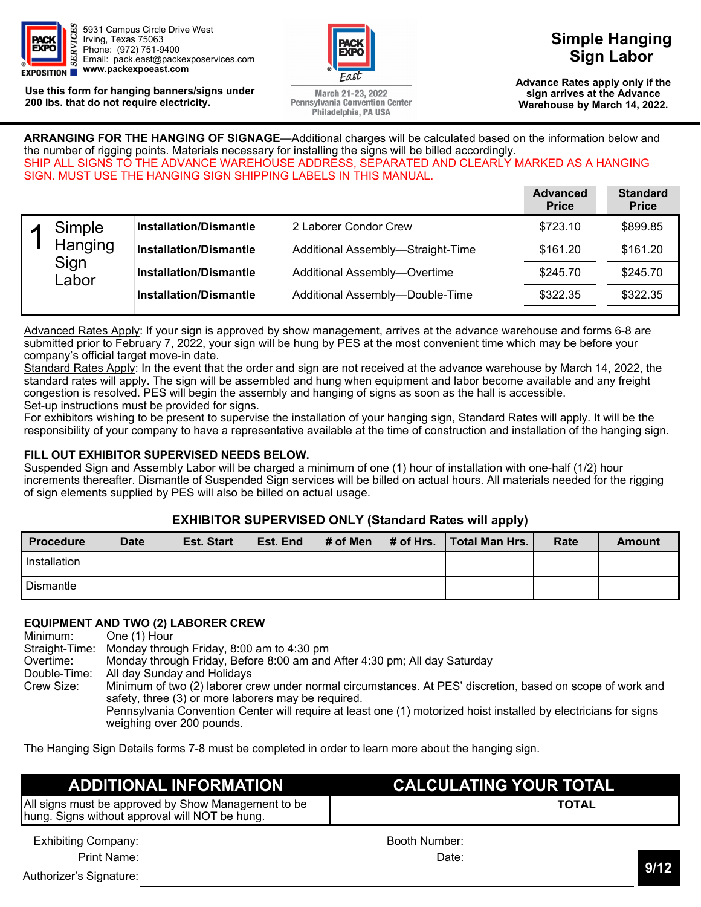

**Use this form for hanging banners/signs under 200 lbs. that do not require electricity.** 



March 21-23, 2022 **Pennsylvania Convention Center** Philadelphia, PA USA

## **Simple Hanging Sign Labor**

**Advance Rates apply only if the February 7, 2022 sign arrives at the Advance (excludes labor) Warehouse by March 14, 2022.** 

**ARRANGING FOR THE HANGING OF SIGNAGE**—Additional charges will be calculated based on the information below and the number of rigging points. Materials necessary for installing the signs will be billed accordingly. SHIP ALL SIGNS TO THE ADVANCE WAREHOUSE ADDRESS, SEPARATED AND CLEARLY MARKED AS A HANGING SIGN. MUST USE THE HANGING SIGN SHIPPING LABELS IN THIS MANUAL.

|               |                               |                                   | <b>Advanced</b><br><b>Price</b> | <b>Standard</b><br><b>Price</b> |
|---------------|-------------------------------|-----------------------------------|---------------------------------|---------------------------------|
| Simple        | <b>Installation/Dismantle</b> | 2 Laborer Condor Crew             | \$723.10                        | \$899.85                        |
| Hanging       | <b>Installation/Dismantle</b> | Additional Assembly-Straight-Time | \$161.20                        | \$161.20                        |
| Sign<br>Labor | <b>Installation/Dismantle</b> | Additional Assembly-Overtime      | \$245.70                        | \$245.70                        |
|               | <b>Installation/Dismantle</b> | Additional Assembly-Double-Time   | \$322.35                        | \$322.35                        |

Advanced Rates Apply: If your sign is approved by show management, arrives at the advance warehouse and forms 6-8 are submitted prior to February 7, 2022, your sign will be hung by PES at the most convenient time which may be before your company's official target move-in date.

Standard Rates Apply: In the event that the order and sign are not received at the advance warehouse by March 14, 2022, the standard rates will apply. The sign will be assembled and hung when equipment and labor become available and any freight congestion is resolved. PES will begin the assembly and hanging of signs as soon as the hall is accessible. Set-up instructions must be provided for signs.

For exhibitors wishing to be present to supervise the installation of your hanging sign, Standard Rates will apply. It will be the responsibility of your company to have a representative available at the time of construction and installation of the hanging sign.

#### **FILL OUT EXHIBITOR SUPERVISED NEEDS BELOW.**

Suspended Sign and Assembly Labor will be charged a minimum of one (1) hour of installation with one-half (1/2) hour increments thereafter. Dismantle of Suspended Sign services will be billed on actual hours. All materials needed for the rigging of sign elements supplied by PES will also be billed on actual usage.

#### **EXHIBITOR SUPERVISED ONLY (Standard Rates will apply)**

| <b>Procedure</b> | <b>Date</b> | <b>Est. Start</b> | Est. End | # of Men | # of Hrs. | ∣Total Man Hrs. | Rate | Amount |
|------------------|-------------|-------------------|----------|----------|-----------|-----------------|------|--------|
| Installation     |             |                   |          |          |           |                 |      |        |
| Dismantle        |             |                   |          |          |           |                 |      |        |

## **EQUIPMENT AND TWO (2) LABORER CREW**

Minimum: One (1) Hour<br>Straight-Time: Monday throu Monday through Friday, 8:00 am to 4:30 pm Overtime: Monday through Friday, Before 8:00 am and After 4:30 pm; All day Saturday Double-Time: All day Sunday and Holidays Minimum of two (2) laborer crew under normal circumstances. At PES' discretion, based on scope of work and safety, three (3) or more laborers may be required. Pennsylvania Convention Center will require at least one (1) motorized hoist installed by electricians for signs weighing over 200 pounds.

The Hanging Sign Details forms 7-8 must be completed in order to learn more about the hanging sign.

| <b>ADDITIONAL INFORMATION</b>                                                                         | <b>CALCULATING YOUR TOTAL</b> |              |
|-------------------------------------------------------------------------------------------------------|-------------------------------|--------------|
| All signs must be approved by Show Management to be<br>hung. Signs without approval will NOT be hung. |                               | <b>TOTAL</b> |
| <b>Exhibiting Company:</b>                                                                            | Booth Number:                 |              |
| Print Name:                                                                                           | Date:                         |              |
| Authorizer's Signature:                                                                               |                               | 9/12         |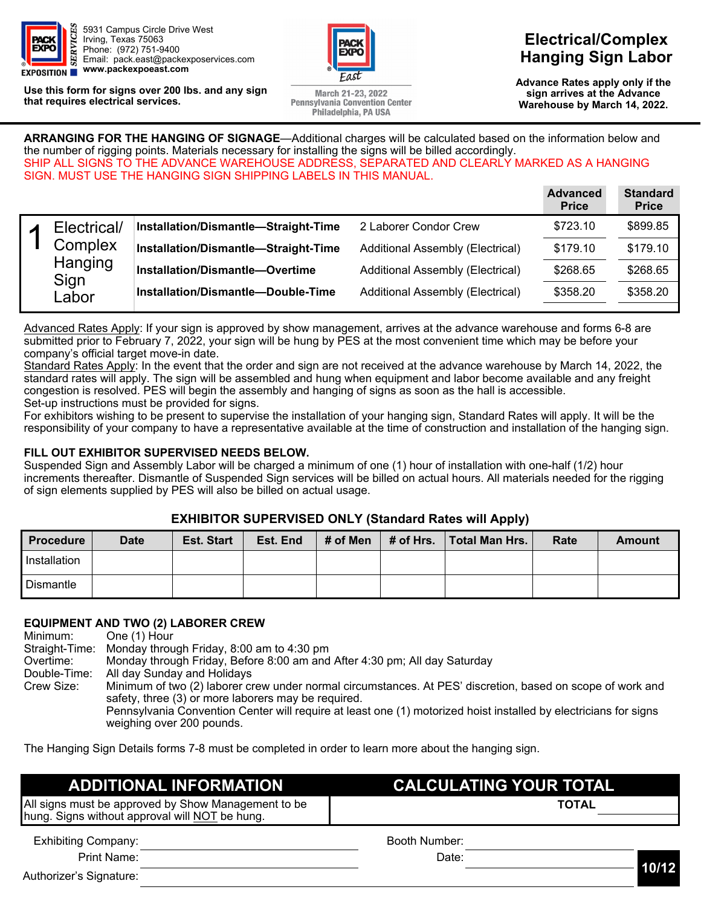

**Use this form for signs over 200 lbs. and any sign that requires electrical services.** 



March 21-23, 2022 **Pennsylvania Convention Center** Philadelphia, PA USA

**Electrical/Complex Hanging Sign Labor** 

**Advance Rates apply only if the February 7, 2022 sign arrives at the Advance (excludes labor) Warehouse by March 14, 2022.** 

**ARRANGING FOR THE HANGING OF SIGNAGE**—Additional charges will be calculated based on the information below and the number of rigging points. Materials necessary for installing the signs will be billed accordingly. SHIP ALL SIGNS TO THE ADVANCE WAREHOUSE ADDRESS, SEPARATED AND CLEARLY MARKED AS A HANGING SIGN. MUST USE THE HANGING SIGN SHIPPING LABELS IN THIS MANUAL.

|             |                                      |                                  | <b>Advanced</b><br><b>Price</b> | <b>Standard</b><br><b>Price</b> |
|-------------|--------------------------------------|----------------------------------|---------------------------------|---------------------------------|
| Electrical/ | Installation/Dismantle-Straight-Time | 2 Laborer Condor Crew            | \$723.10                        | \$899.85                        |
| Complex     | Installation/Dismantle-Straight-Time | Additional Assembly (Electrical) | \$179.10                        | \$179.10                        |
|             | Installation/Dismantle-Overtime      | Additional Assembly (Electrical) | \$268.65                        | \$268.65                        |
| Labor       | Installation/Dismantle-Double-Time   | Additional Assembly (Electrical) | \$358.20                        | \$358.20                        |
|             | Hanging<br>Sign                      |                                  |                                 |                                 |

Advanced Rates Apply: If your sign is approved by show management, arrives at the advance warehouse and forms 6-8 are submitted prior to February 7, 2022, your sign will be hung by PES at the most convenient time which may be before your company's official target move-in date.

Standard Rates Apply: In the event that the order and sign are not received at the advance warehouse by March 14, 2022, the standard rates will apply. The sign will be assembled and hung when equipment and labor become available and any freight congestion is resolved. PES will begin the assembly and hanging of signs as soon as the hall is accessible. Set-up instructions must be provided for signs.

For exhibitors wishing to be present to supervise the installation of your hanging sign, Standard Rates will apply. It will be the responsibility of your company to have a representative available at the time of construction and installation of the hanging sign.

#### **FILL OUT EXHIBITOR SUPERVISED NEEDS BELOW.**

Suspended Sign and Assembly Labor will be charged a minimum of one (1) hour of installation with one-half (1/2) hour increments thereafter. Dismantle of Suspended Sign services will be billed on actual hours. All materials needed for the rigging of sign elements supplied by PES will also be billed on actual usage.

#### **EXHIBITOR SUPERVISED ONLY (Standard Rates will Apply)**

| <b>Procedure</b> | <b>Date</b> | <b>Est. Start</b> | Est. End | # of Men | # of Hrs. Total Man Hrs. | Rate | Amount |
|------------------|-------------|-------------------|----------|----------|--------------------------|------|--------|
| Installation     |             |                   |          |          |                          |      |        |
| Dismantle        |             |                   |          |          |                          |      |        |

## **EQUIPMENT AND TWO (2) LABORER CREW**

One (1) Hour Straight-Time: Monday through Friday, 8:00 am to 4:30 pm Overtime: Monday through Friday, Before 8:00 am and After 4:30 pm; All day Saturday Double-Time: All day Sunday and Holidays Crew Size: Minimum of two (2) laborer crew under normal circumstances. At PES' discretion, based on scope of work and safety, three (3) or more laborers may be required. Pennsylvania Convention Center will require at least one (1) motorized hoist installed by electricians for signs weighing over 200 pounds.

The Hanging Sign Details forms 7-8 must be completed in order to learn more about the hanging sign.

| <b>ADDITIONAL INFORMATION</b>                                                                         | <b>CALCULATING YOUR TOTAL</b> |
|-------------------------------------------------------------------------------------------------------|-------------------------------|
| All signs must be approved by Show Management to be<br>hung. Signs without approval will NOT be hung. | <b>TOTAL</b>                  |
| <b>Exhibiting Company:</b>                                                                            | Booth Number:                 |
| Print Name:                                                                                           | Date:                         |
| Authorizer's Signature:                                                                               | 10/12                         |

**10/12**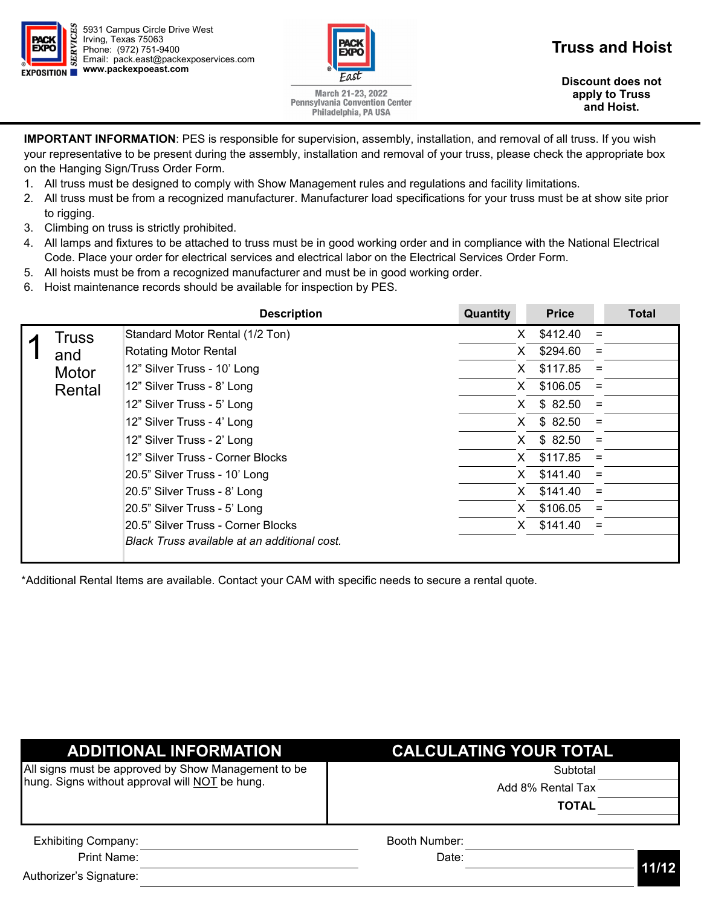



## **Truss and Hoist**

**Discount does not February 7, 2022 apply to Truss (excludes labor) and Hoist.** 

March 21-23, 2022 **Pennsylvania Convention Center** Philadelphia, PA USA

**IMPORTANT INFORMATION**: PES is responsible for supervision, assembly, installation, and removal of all truss. If you wish your representative to be present during the assembly, installation and removal of your truss, please check the appropriate box on the Hanging Sign/Truss Order Form.

- 1. All truss must be designed to comply with Show Management rules and regulations and facility limitations.
- 2. All truss must be from a recognized manufacturer. Manufacturer load specifications for your truss must be at show site prior to rigging.
- 3. Climbing on truss is strictly prohibited.
- 4. All lamps and fixtures to be attached to truss must be in good working order and in compliance with the National Electrical Code. Place your order for electrical services and electrical labor on the Electrical Services Order Form.
- 5. All hoists must be from a recognized manufacturer and must be in good working order.
- 6. Hoist maintenance records should be available for inspection by PES.

|        | <b>Description</b>                           | Quantity | <b>Price</b> |          | <b>Total</b> |
|--------|----------------------------------------------|----------|--------------|----------|--------------|
| Truss  | Standard Motor Rental (1/2 Ton)              | X        | \$412.40     | $\equiv$ |              |
| and    | <b>Rotating Motor Rental</b>                 | X        | \$294.60     | $=$      |              |
| Motor  | 12" Silver Truss - 10' Long                  | X.       | \$117.85     | $=$      |              |
| Rental | 12" Silver Truss - 8' Long                   | X.       | \$106.05     | $=$      |              |
|        | 12" Silver Truss - 5' Long                   | X.       | \$82.50      | $\equiv$ |              |
|        | 12" Silver Truss - 4' Long                   | X.       | \$82.50      | $=$      |              |
|        | 12" Silver Truss - 2' Long                   | X.       | \$82.50      | $=$      |              |
|        | 12" Silver Truss - Corner Blocks             | X.       | \$117.85     | $=$      |              |
|        | 20.5" Silver Truss - 10' Long                | X.       | \$141.40     | $=$      |              |
|        | 20.5" Silver Truss - 8' Long                 | X.       | \$141.40     | $=$      |              |
|        | 20.5" Silver Truss - 5' Long                 | X        | \$106.05     | $\equiv$ |              |
|        | 20.5" Silver Truss - Corner Blocks           | X        | \$141.40     | $=$      |              |
|        | Black Truss available at an additional cost. |          |              |          |              |

\*Additional Rental Items are available. Contact your CAM with specific needs to secure a rental quote.

| <b>ADDITIONAL INFORMATION</b>                       | <b>CALCULATING YOUR TOTAL</b> |       |
|-----------------------------------------------------|-------------------------------|-------|
| All signs must be approved by Show Management to be | Subtotal                      |       |
| hung. Signs without approval will NOT be hung.      | Add 8% Rental Tax             |       |
|                                                     | <b>TOTAL</b>                  |       |
| <b>Exhibiting Company:</b>                          | Booth Number:                 |       |
| Print Name:                                         | Date:                         | 11/12 |
| Authorizer's Signature:                             |                               |       |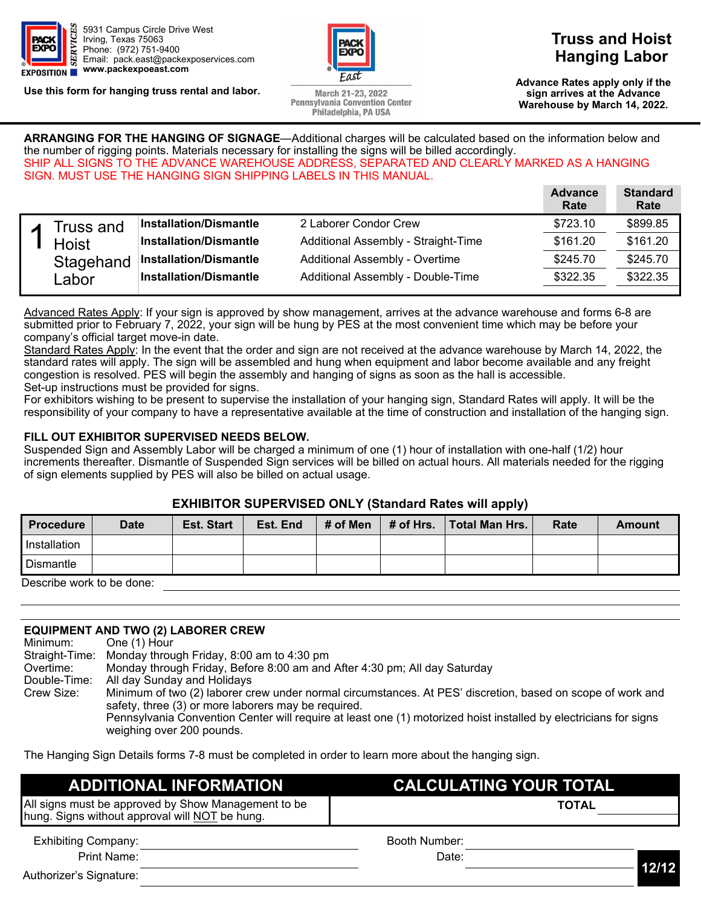

**Use this form for hanging truss rental and labor.** 



March 21-23, 2022 **Pennsylvania Convention Center** Philadelphia, PA USA

## **Truss and Hoist Hanging Labor**

**Advance Rates apply only if the February 7, 2022 sign arrives at the Advance (excludes labor) Warehouse by March 14, 2022.** 

**ARRANGING FOR THE HANGING OF SIGNAGE**—Additional charges will be calculated based on the information below and the number of rigging points. Materials necessary for installing the signs will be billed accordingly. SHIP ALL SIGNS TO THE ADVANCE WAREHOUSE ADDRESS, SEPARATED AND CLEARLY MARKED AS A HANGING SIGN. MUST USE THE HANGING SIGN SHIPPING LABELS IN THIS MANUAL.

|                                    |                               |                                     | <b>Advance</b><br>Rate | <b>Standard</b><br>Rate |
|------------------------------------|-------------------------------|-------------------------------------|------------------------|-------------------------|
| <b>Truss and</b>                   | <b>Installation/Dismantle</b> | 2 Laborer Condor Crew               | \$723.10               | \$899.85                |
| <b>Hoist</b><br>Stagehand<br>Labor | <b>Installation/Dismantle</b> | Additional Assembly - Straight-Time | \$161.20               | \$161.20                |
|                                    | <b>Installation/Dismantle</b> | Additional Assembly - Overtime      | \$245.70               | \$245.70                |
|                                    | <b>Installation/Dismantle</b> | Additional Assembly - Double-Time   | \$322.35               | \$322.35                |

Advanced Rates Apply: If your sign is approved by show management, arrives at the advance warehouse and forms 6-8 are submitted prior to February 7, 2022, your sign will be hung by PES at the most convenient time which may be before your company's official target move-in date.

Standard Rates Apply: In the event that the order and sign are not received at the advance warehouse by March 14, 2022, the standard rates will apply. The sign will be assembled and hung when equipment and labor become available and any freight congestion is resolved. PES will begin the assembly and hanging of signs as soon as the hall is accessible. Set-up instructions must be provided for signs.

For exhibitors wishing to be present to supervise the installation of your hanging sign, Standard Rates will apply. It will be the responsibility of your company to have a representative available at the time of construction and installation of the hanging sign.

#### **FILL OUT EXHIBITOR SUPERVISED NEEDS BELOW.**

Suspended Sign and Assembly Labor will be charged a minimum of one (1) hour of installation with one-half (1/2) hour increments thereafter. Dismantle of Suspended Sign services will be billed on actual hours. All materials needed for the rigging of sign elements supplied by PES will also be billed on actual usage.

#### **EXHIBITOR SUPERVISED ONLY (Standard Rates will apply)**

| <b>Procedure</b>          | <b>Date</b> | <b>Est. Start</b> | Est. End | # of Men | # of Hrs. | <b>Total Man Hrs.</b> | Rate | Amount |
|---------------------------|-------------|-------------------|----------|----------|-----------|-----------------------|------|--------|
| Installation              |             |                   |          |          |           |                       |      |        |
| Dismantle                 |             |                   |          |          |           |                       |      |        |
| Describe work to be done: |             |                   |          |          |           |                       |      |        |

Describe work to be done:

#### **EQUIPMENT AND TWO (2) LABORER CREW**

| Minimum:     | One (1) Hour                                                                                                     |
|--------------|------------------------------------------------------------------------------------------------------------------|
|              | Straight-Time: Monday through Friday, 8:00 am to 4:30 pm                                                         |
| Overtime:    | Monday through Friday, Before 8:00 am and After 4:30 pm; All day Saturday                                        |
| Double-Time: | All day Sunday and Holidays                                                                                      |
| Crew Size:   | Minimum of two (2) laborer crew under normal circumstances. At PES' discretion, based on scope of work and       |
|              | safety, three (3) or more laborers may be required.                                                              |
|              | Pennsylvania Convention Center will require at least one (1) motorized hoist installed by electricians for signs |
|              | weighing over 200 pounds.                                                                                        |

The Hanging Sign Details forms 7-8 must be completed in order to learn more about the hanging sign.

## **ADDITIONAL INFORMATION CALCULATING YOUR TOTAL**

| All signs must be approved by Show Management to be |               | <b>TOTAL</b> |  |
|-----------------------------------------------------|---------------|--------------|--|
| hung. Signs without approval will NOT be hung.      |               |              |  |
| <b>Exhibiting Company:</b>                          | Booth Number: |              |  |
| Print Name:                                         | Date:         |              |  |

Authorizer's Signature: